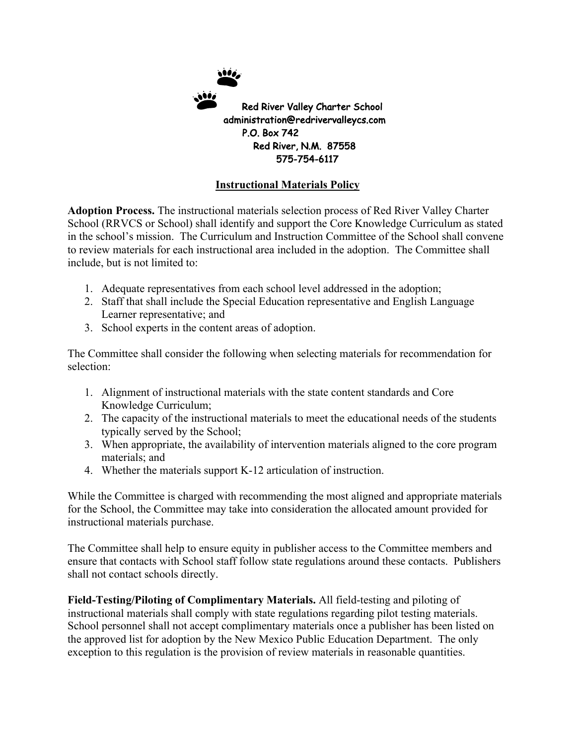

## **Instructional Materials Policy**

**Adoption Process.** The instructional materials selection process of Red River Valley Charter School (RRVCS or School) shall identify and support the Core Knowledge Curriculum as stated in the school's mission. The Curriculum and Instruction Committee of the School shall convene to review materials for each instructional area included in the adoption. The Committee shall include, but is not limited to:

- 1. Adequate representatives from each school level addressed in the adoption;
- 2. Staff that shall include the Special Education representative and English Language Learner representative; and
- 3. School experts in the content areas of adoption.

The Committee shall consider the following when selecting materials for recommendation for selection:

- 1. Alignment of instructional materials with the state content standards and Core Knowledge Curriculum;
- 2. The capacity of the instructional materials to meet the educational needs of the students typically served by the School;
- 3. When appropriate, the availability of intervention materials aligned to the core program materials; and
- 4. Whether the materials support K-12 articulation of instruction.

While the Committee is charged with recommending the most aligned and appropriate materials for the School, the Committee may take into consideration the allocated amount provided for instructional materials purchase.

The Committee shall help to ensure equity in publisher access to the Committee members and ensure that contacts with School staff follow state regulations around these contacts. Publishers shall not contact schools directly.

**Field-Testing/Piloting of Complimentary Materials.** All field-testing and piloting of instructional materials shall comply with state regulations regarding pilot testing materials. School personnel shall not accept complimentary materials once a publisher has been listed on the approved list for adoption by the New Mexico Public Education Department. The only exception to this regulation is the provision of review materials in reasonable quantities.